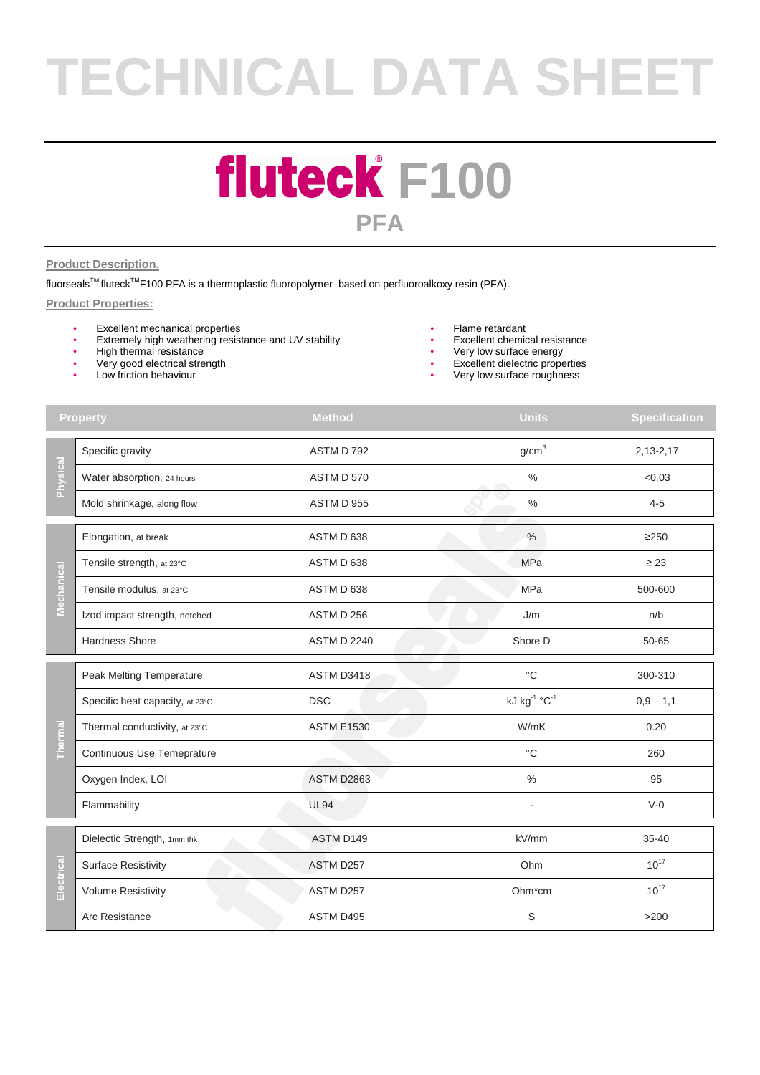# **TECHNICAL DATA SHEET**

### **fluteck F100 PFA**

#### **Product Description.**

fluorseals™ fluteck<sup>™</sup>F100 PFA is a thermoplastic fluoropolymer based on perfluoroalkoxy resin (PFA).

#### **Product Properties:**

- Excellent mechanical properties
- Extremely high weathering resistance and UV stability
- High thermal resistance<br>• Very good electrical stre
- Very good electrical strength
- Low friction behaviour
- Flame retardant
- Excellent chemical resistance
- Very low surface energy
- Excellent dielectric properties
- Very low surface roughness

| Specific gravity<br>Physical<br>Water absorption, 24 hours | ASTM D 792<br>ASTM D 570 | g/cm <sup>3</sup>                    | $2,13-2,17$ |
|------------------------------------------------------------|--------------------------|--------------------------------------|-------------|
|                                                            |                          |                                      |             |
|                                                            |                          | $\%$                                 | < 0.03      |
| Mold shrinkage, along flow                                 | ASTM D 955               | $\frac{0}{0}$                        | $4 - 5$     |
| Elongation, at break                                       | ASTM D 638               | $\frac{0}{0}$                        | $\geq$ 250  |
| Tensile strength, at 23°C                                  | ASTM D 638               | <b>MPa</b>                           | $\geq$ 23   |
| Mechanical<br>Tensile modulus, at 23°C                     | ASTM D 638               | <b>MPa</b>                           | 500-600     |
| Izod impact strength, notched                              | ASTM D 256               | J/m                                  | n/b         |
| <b>Hardness Shore</b>                                      | <b>ASTM D 2240</b>       | Shore D                              | 50-65       |
| Peak Melting Temperature                                   | ASTM D3418               | $^{\circ}C$                          | 300-310     |
| Specific heat capacity, at 23°C                            | <b>DSC</b>               | kJ kg <sup>-1</sup> °C <sup>-1</sup> | $0,9 - 1,1$ |
| Thermal conductivity, at 23°C                              | <b>ASTM E1530</b>        | W/mK                                 | 0.20        |
| Thermal<br>Continuous Use Temeprature                      |                          | $\rm ^{\circ}C$                      | 260         |
| Oxygen Index, LOI                                          | <b>ASTM D2863</b>        | $\%$                                 | 95          |
| Flammability                                               | <b>UL94</b>              |                                      | $V-0$       |
| Dielectic Strength, 1mm thk                                | ASTM D149                | kV/mm                                | $35 - 40$   |
| <b>Surface Resistivity</b>                                 | ASTM D257                | Ohm                                  | $10^{17}$   |
| Electrical<br><b>Volume Resistivity</b>                    | ASTM D257                | Ohm*cm                               | $10^{17}$   |
| Arc Resistance                                             | ASTM D495                | S                                    | $>200$      |